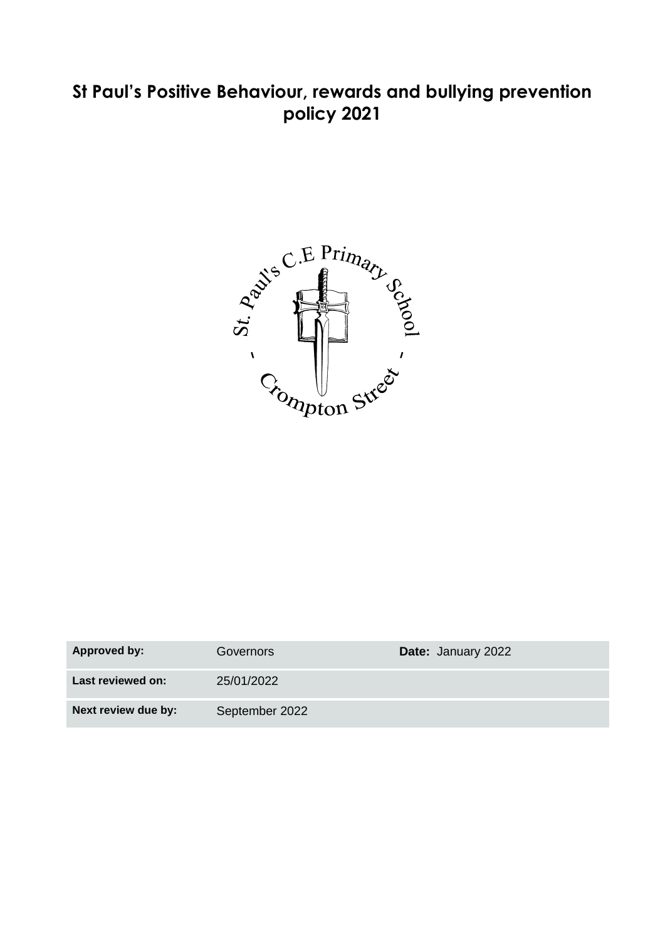# **St Paul's Positive Behaviour, rewards and bullying prevention policy 2021**



| <b>Approved by:</b> | Governors      | <b>Date: January 2022</b> |
|---------------------|----------------|---------------------------|
| Last reviewed on:   | 25/01/2022     |                           |
| Next review due by: | September 2022 |                           |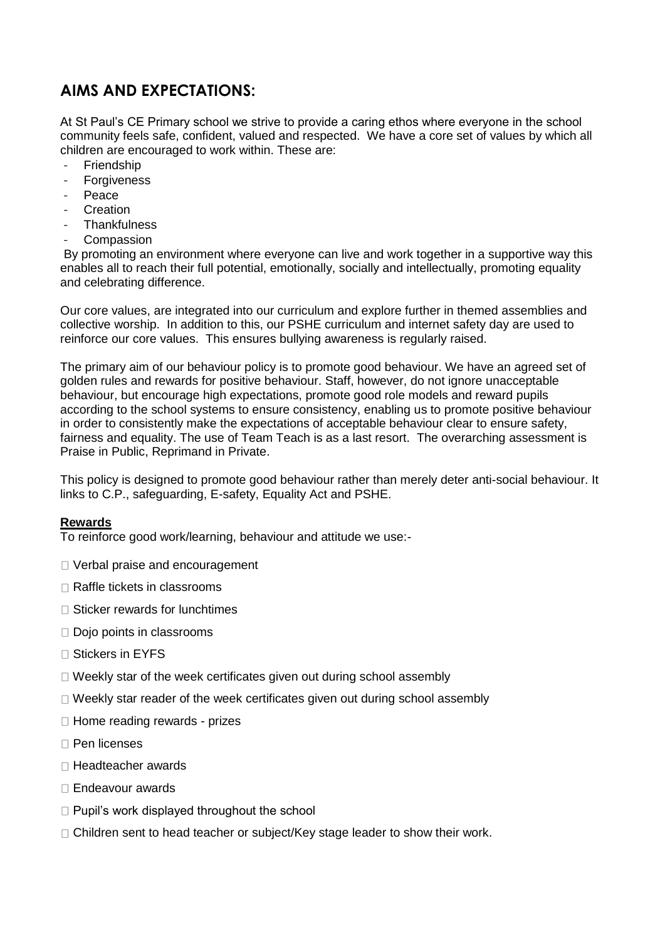## **AIMS AND EXPECTATIONS:**

At St Paul's CE Primary school we strive to provide a caring ethos where everyone in the school community feels safe, confident, valued and respected. We have a core set of values by which all children are encouraged to work within. These are:

- **Friendship**
- Forgiveness
- Peace
- **Creation**
- **Thankfulness**
- **Compassion**

By promoting an environment where everyone can live and work together in a supportive way this enables all to reach their full potential, emotionally, socially and intellectually, promoting equality and celebrating difference.

Our core values, are integrated into our curriculum and explore further in themed assemblies and collective worship. In addition to this, our PSHE curriculum and internet safety day are used to reinforce our core values. This ensures bullying awareness is regularly raised.

The primary aim of our behaviour policy is to promote good behaviour. We have an agreed set of golden rules and rewards for positive behaviour. Staff, however, do not ignore unacceptable behaviour, but encourage high expectations, promote good role models and reward pupils according to the school systems to ensure consistency, enabling us to promote positive behaviour in order to consistently make the expectations of acceptable behaviour clear to ensure safety, fairness and equality. The use of Team Teach is as a last resort. The overarching assessment is Praise in Public, Reprimand in Private.

This policy is designed to promote good behaviour rather than merely deter anti-social behaviour. It links to C.P., safeguarding, E-safety, Equality Act and PSHE.

#### **Rewards**

To reinforce good work/learning, behaviour and attitude we use:-

- □ Verbal praise and encouragement
- □ Raffle tickets in classrooms
- $\Box$  Sticker rewards for lunchtimes
- Dojo points in classrooms
- □ Stickers in EYFS
- $\Box$  Weekly star of the week certificates given out during school assembly
- $\Box$  Weekly star reader of the week certificates given out during school assembly
- $\Box$  Home reading rewards prizes
- Pen licenses
- Headteacher awards
- □ Endeavour awards
- $\Box$  Pupil's work displayed throughout the school
- $\Box$  Children sent to head teacher or subject/Key stage leader to show their work.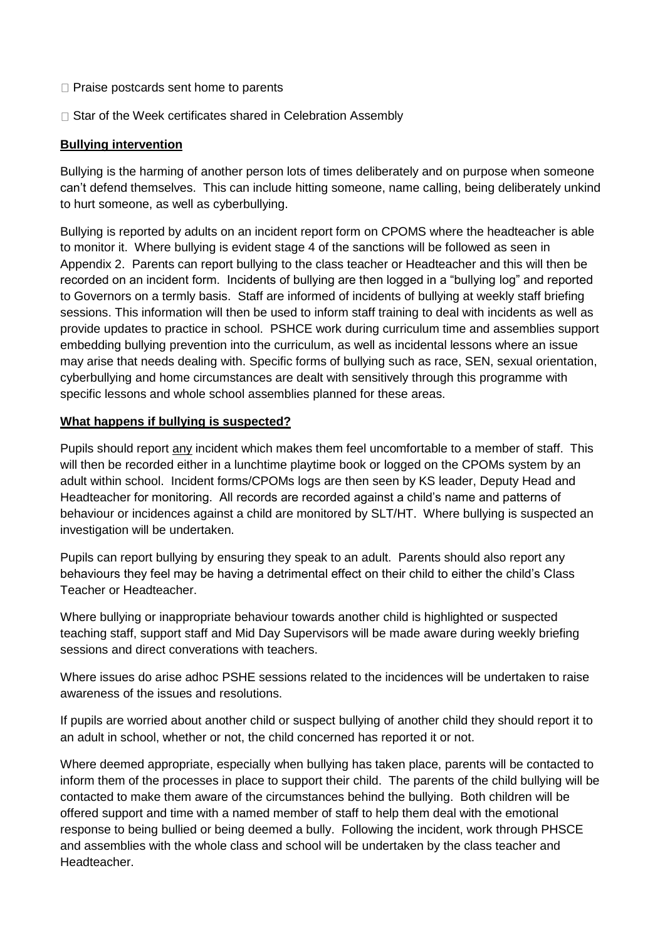- $\Box$  Praise postcards sent home to parents
- $\Box$  Star of the Week certificates shared in Celebration Assembly

#### **Bullying intervention**

Bullying is the harming of another person lots of times deliberately and on purpose when someone can't defend themselves. This can include hitting someone, name calling, being deliberately unkind to hurt someone, as well as cyberbullying.

Bullying is reported by adults on an incident report form on CPOMS where the headteacher is able to monitor it. Where bullying is evident stage 4 of the sanctions will be followed as seen in Appendix 2. Parents can report bullying to the class teacher or Headteacher and this will then be recorded on an incident form. Incidents of bullying are then logged in a "bullying log" and reported to Governors on a termly basis. Staff are informed of incidents of bullying at weekly staff briefing sessions. This information will then be used to inform staff training to deal with incidents as well as provide updates to practice in school. PSHCE work during curriculum time and assemblies support embedding bullying prevention into the curriculum, as well as incidental lessons where an issue may arise that needs dealing with. Specific forms of bullying such as race, SEN, sexual orientation, cyberbullying and home circumstances are dealt with sensitively through this programme with specific lessons and whole school assemblies planned for these areas.

#### **What happens if bullying is suspected?**

Pupils should report any incident which makes them feel uncomfortable to a member of staff. This will then be recorded either in a lunchtime playtime book or logged on the CPOMs system by an adult within school. Incident forms/CPOMs logs are then seen by KS leader, Deputy Head and Headteacher for monitoring. All records are recorded against a child's name and patterns of behaviour or incidences against a child are monitored by SLT/HT. Where bullying is suspected an investigation will be undertaken.

Pupils can report bullying by ensuring they speak to an adult. Parents should also report any behaviours they feel may be having a detrimental effect on their child to either the child's Class Teacher or Headteacher.

Where bullying or inappropriate behaviour towards another child is highlighted or suspected teaching staff, support staff and Mid Day Supervisors will be made aware during weekly briefing sessions and direct converations with teachers.

Where issues do arise adhoc PSHE sessions related to the incidences will be undertaken to raise awareness of the issues and resolutions.

If pupils are worried about another child or suspect bullying of another child they should report it to an adult in school, whether or not, the child concerned has reported it or not.

Where deemed appropriate, especially when bullying has taken place, parents will be contacted to inform them of the processes in place to support their child. The parents of the child bullying will be contacted to make them aware of the circumstances behind the bullying. Both children will be offered support and time with a named member of staff to help them deal with the emotional response to being bullied or being deemed a bully. Following the incident, work through PHSCE and assemblies with the whole class and school will be undertaken by the class teacher and Headteacher.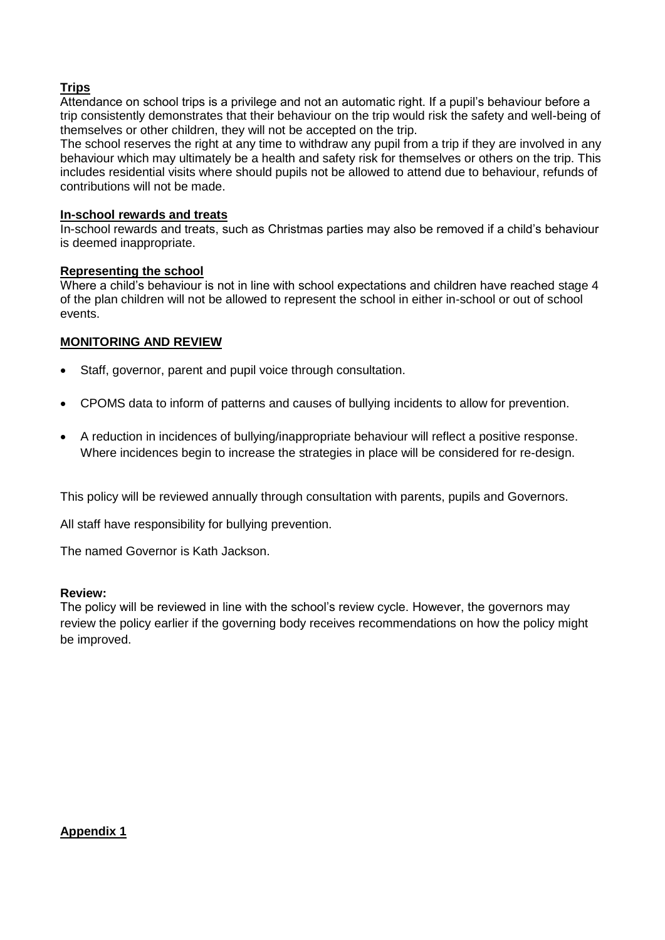#### **Trips**

Attendance on school trips is a privilege and not an automatic right. If a pupil's behaviour before a trip consistently demonstrates that their behaviour on the trip would risk the safety and well-being of themselves or other children, they will not be accepted on the trip.

The school reserves the right at any time to withdraw any pupil from a trip if they are involved in any behaviour which may ultimately be a health and safety risk for themselves or others on the trip. This includes residential visits where should pupils not be allowed to attend due to behaviour, refunds of contributions will not be made.

#### **In-school rewards and treats**

In-school rewards and treats, such as Christmas parties may also be removed if a child's behaviour is deemed inappropriate.

#### **Representing the school**

Where a child's behaviour is not in line with school expectations and children have reached stage 4 of the plan children will not be allowed to represent the school in either in-school or out of school events.

#### **MONITORING AND REVIEW**

- Staff, governor, parent and pupil voice through consultation.
- CPOMS data to inform of patterns and causes of bullying incidents to allow for prevention.
- A reduction in incidences of bullying/inappropriate behaviour will reflect a positive response. Where incidences begin to increase the strategies in place will be considered for re-design.

This policy will be reviewed annually through consultation with parents, pupils and Governors.

All staff have responsibility for bullying prevention.

The named Governor is Kath Jackson.

#### **Review:**

The policy will be reviewed in line with the school's review cycle. However, the governors may review the policy earlier if the governing body receives recommendations on how the policy might be improved.

**Appendix 1**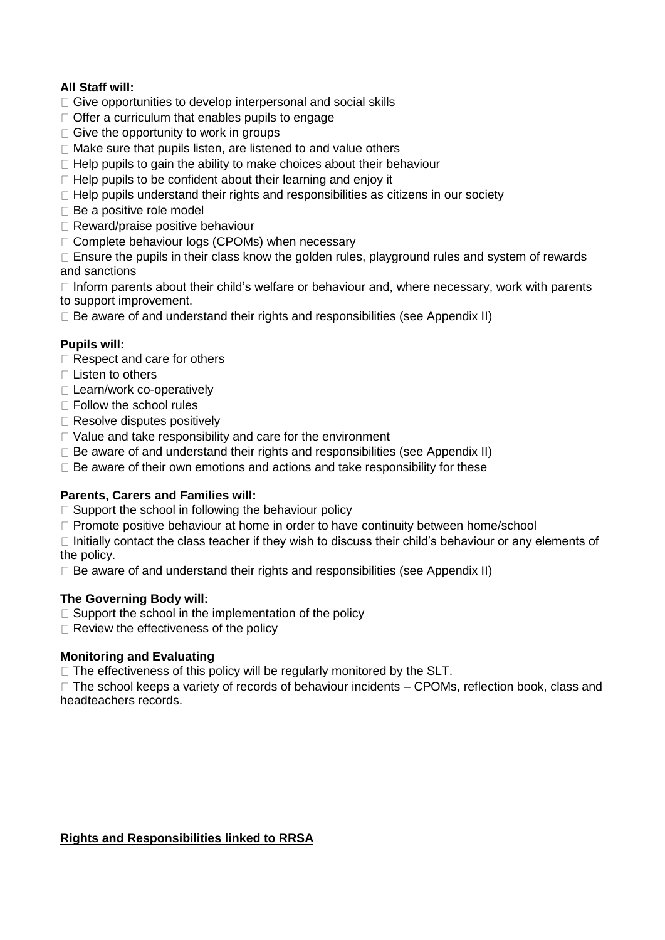## **All Staff will:**

- $\Box$  Give opportunities to develop interpersonal and social skills
- $\Box$  Offer a curriculum that enables pupils to engage
- $\Box$  Give the opportunity to work in groups
- $\Box$  Make sure that pupils listen, are listened to and value others
- $\Box$  Help pupils to gain the ability to make choices about their behaviour
- $\Box$  Help pupils to be confident about their learning and enjoy it
- $\Box$  Help pupils understand their rights and responsibilities as citizens in our society
- $\Box$  Be a positive role model
- □ Reward/praise positive behaviour
- □ Complete behaviour logs (CPOMs) when necessary

 $\Box$  Ensure the pupils in their class know the golden rules, playground rules and system of rewards and sanctions

 $\Box$  Inform parents about their child's welfare or behaviour and, where necessary, work with parents to support improvement.

 $\Box$  Be aware of and understand their rights and responsibilities (see Appendix II)

## **Pupils will:**

- □ Respect and care for others
- $\Box$  Listen to others
- □ Learn/work co-operatively
- □ Follow the school rules
- □ Resolve disputes positively
- $\Box$  Value and take responsibility and care for the environment
- $\Box$  Be aware of and understand their rights and responsibilities (see Appendix II)
- $\Box$  Be aware of their own emotions and actions and take responsibility for these

## **Parents, Carers and Families will:**

- $\Box$  Support the school in following the behaviour policy
- $\Box$  Promote positive behaviour at home in order to have continuity between home/school

 $\Box$  Initially contact the class teacher if they wish to discuss their child's behaviour or any elements of the policy.

 $\Box$  Be aware of and understand their rights and responsibilities (see Appendix II)

## **The Governing Body will:**

- $\Box$  Support the school in the implementation of the policy
- $\Box$  Review the effectiveness of the policy

## **Monitoring and Evaluating**

 $\Box$  The effectiveness of this policy will be regularly monitored by the SLT.

 $\Box$  The school keeps a variety of records of behaviour incidents – CPOMs, reflection book, class and headteachers records.

## **Rights and Responsibilities linked to RRSA**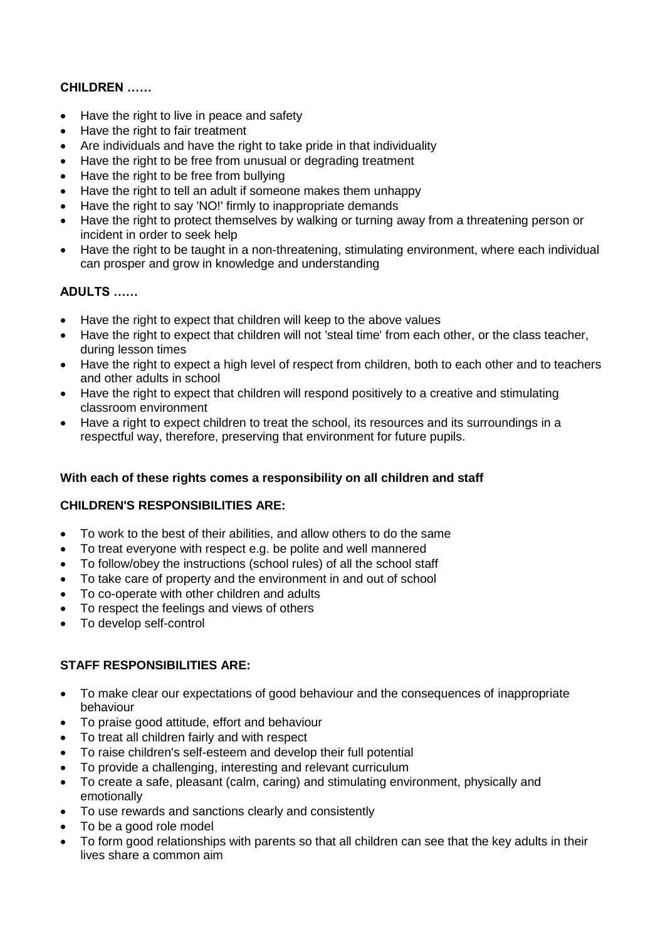## **CHILDREN ……**

- Have the right to live in peace and safety
- Have the right to fair treatment
- Are individuals and have the right to take pride in that individuality
- Have the right to be free from unusual or degrading treatment
- Have the right to be free from bullying
- Have the right to tell an adult if someone makes them unhappy
- Have the right to say 'NO!' firmly to inappropriate demands
- Have the right to protect themselves by walking or turning away from a threatening person or incident in order to seek help
- Have the right to be taught in a non-threatening, stimulating environment, where each individual can prosper and grow in knowledge and understanding

## **ADULTS ……**

- Have the right to expect that children will keep to the above values
- Have the right to expect that children will not 'steal time' from each other, or the class teacher, during lesson times
- Have the right to expect a high level of respect from children, both to each other and to teachers and other adults in school
- Have the right to expect that children will respond positively to a creative and stimulating classroom environment
- Have a right to expect children to treat the school, its resources and its surroundings in a respectful way, therefore, preserving that environment for future pupils.

#### **With each of these rights comes a responsibility on all children and staff**

#### **CHILDREN'S RESPONSIBILITIES ARE:**

- To work to the best of their abilities, and allow others to do the same
- To treat everyone with respect e.g. be polite and well mannered
- To follow/obey the instructions (school rules) of all the school staff
- To take care of property and the environment in and out of school
- To co-operate with other children and adults
- To respect the feelings and views of others
- To develop self-control

#### **STAFF RESPONSIBILITIES ARE:**

- To make clear our expectations of good behaviour and the consequences of inappropriate behaviour
- To praise good attitude, effort and behaviour
- To treat all children fairly and with respect
- To raise children's self-esteem and develop their full potential
- To provide a challenging, interesting and relevant curriculum
- To create a safe, pleasant (calm, caring) and stimulating environment, physically and emotionally
- To use rewards and sanctions clearly and consistently
- To be a good role model
- To form good relationships with parents so that all children can see that the key adults in their lives share a common aim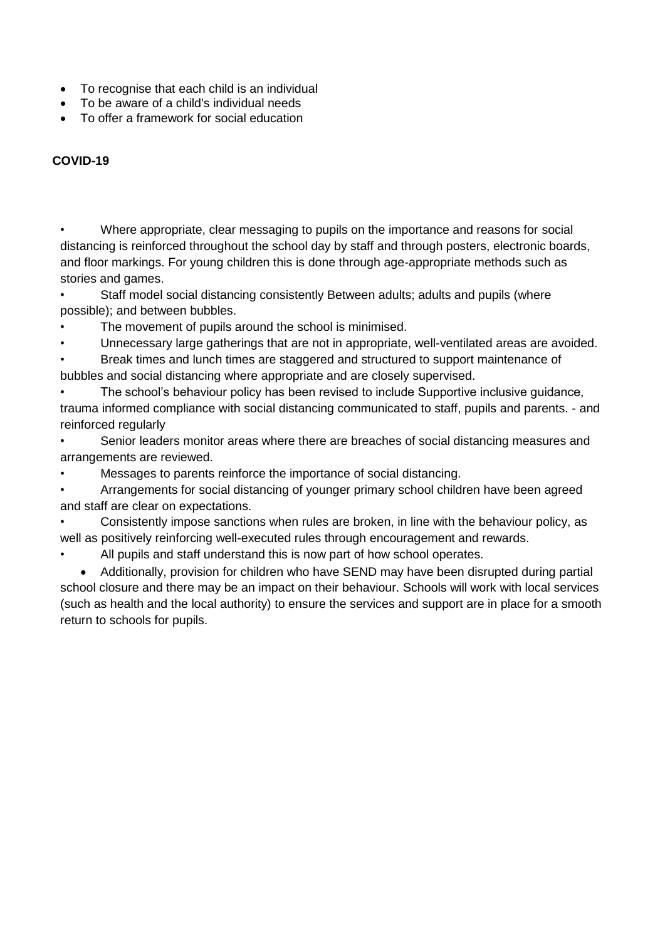- To recognise that each child is an individual
- To be aware of a child's individual needs
- To offer a framework for social education

## **COVID-19**

• Where appropriate, clear messaging to pupils on the importance and reasons for social distancing is reinforced throughout the school day by staff and through posters, electronic boards, and floor markings. For young children this is done through age-appropriate methods such as stories and games.

• Staff model social distancing consistently Between adults; adults and pupils (where possible); and between bubbles.

- The movement of pupils around the school is minimised.
- Unnecessary large gatherings that are not in appropriate, well-ventilated areas are avoided.
- Break times and lunch times are staggered and structured to support maintenance of bubbles and social distancing where appropriate and are closely supervised.
- The school's behaviour policy has been revised to include Supportive inclusive guidance, trauma informed compliance with social distancing communicated to staff, pupils and parents. - and reinforced regularly
- Senior leaders monitor areas where there are breaches of social distancing measures and arrangements are reviewed.
- Messages to parents reinforce the importance of social distancing.

• Arrangements for social distancing of younger primary school children have been agreed and staff are clear on expectations.

• Consistently impose sanctions when rules are broken, in line with the behaviour policy, as well as positively reinforcing well-executed rules through encouragement and rewards.

All pupils and staff understand this is now part of how school operates.

• Additionally, provision for children who have SEND may have been disrupted during partial school closure and there may be an impact on their behaviour. Schools will work with local services (such as health and the local authority) to ensure the services and support are in place for a smooth return to schools for pupils.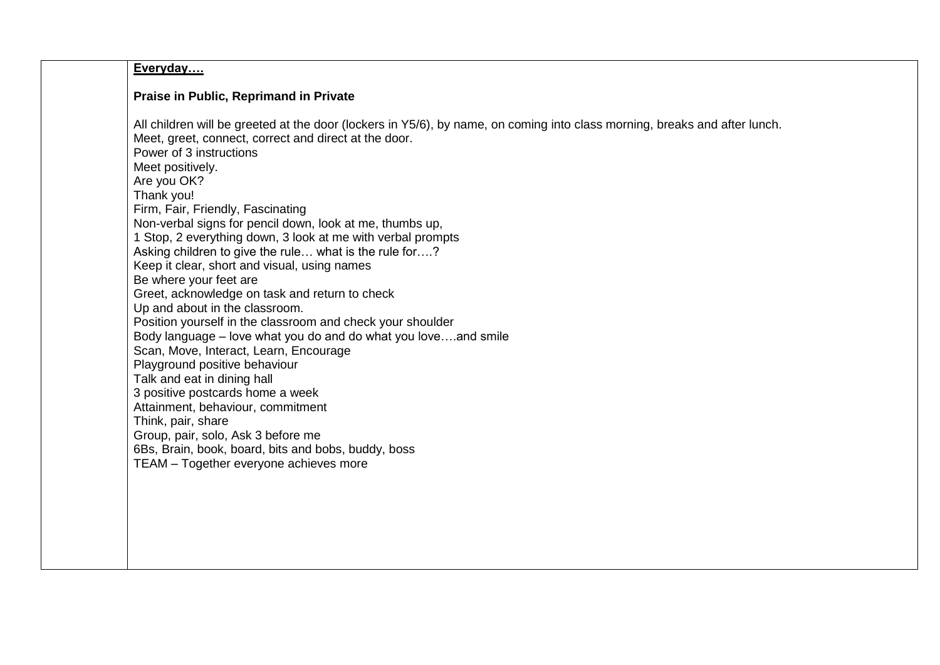## **Everyday….**

#### **Praise in Public, Reprimand in Private**

All children will be greeted at the door (lockers in Y5/6), by name, on coming into class morning, breaks and after lunch. Meet, greet, connect, correct and direct at the door. Power of 3 instructions Meet positively. Are you OK? Thank you! Firm, Fair, Friendly, Fascinating Non-verbal signs for pencil down, look at me, thumbs up, 1 Stop, 2 everything down, 3 look at me with verbal prompts Asking children to give the rule… what is the rule for….? Keep it clear, short and visual, using names Be where your feet are Greet, acknowledge on task and return to check Up and about in the classroom. Position yourself in the classroom and check your shoulder Body language – love what you do and do what you love….and smile Scan, Move, Interact, Learn, Encourage Playground positive behaviour Talk and eat in dining hall 3 positive postcards home a week Attainment, behaviour, commitment Think, pair, share Group, pair, solo, Ask 3 before me 6Bs, Brain, book, board, bits and bobs, buddy, boss TEAM – Together everyone achieves more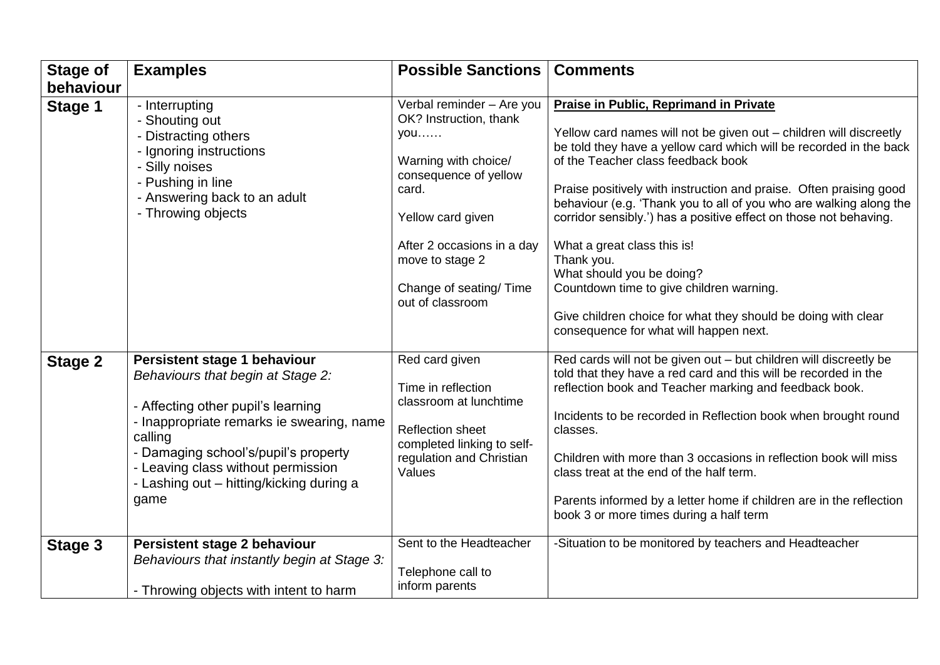| <b>Stage of</b>      | <b>Examples</b>                                                                                                                                                                                                                                                                                   | <b>Possible Sanctions</b>                                                                                                                                                                                                                 | <b>Comments</b>                                                                                                                                                                                                                                                                                                                                                                                                                                                                                                                                                                                                                                                                   |
|----------------------|---------------------------------------------------------------------------------------------------------------------------------------------------------------------------------------------------------------------------------------------------------------------------------------------------|-------------------------------------------------------------------------------------------------------------------------------------------------------------------------------------------------------------------------------------------|-----------------------------------------------------------------------------------------------------------------------------------------------------------------------------------------------------------------------------------------------------------------------------------------------------------------------------------------------------------------------------------------------------------------------------------------------------------------------------------------------------------------------------------------------------------------------------------------------------------------------------------------------------------------------------------|
| behaviour<br>Stage 1 | - Interrupting<br>- Shouting out<br>- Distracting others<br>- Ignoring instructions<br>- Silly noises<br>- Pushing in line<br>- Answering back to an adult<br>- Throwing objects                                                                                                                  | Verbal reminder - Are you<br>OK? Instruction, thank<br>you<br>Warning with choice/<br>consequence of yellow<br>card.<br>Yellow card given<br>After 2 occasions in a day<br>move to stage 2<br>Change of seating/ Time<br>out of classroom | <b>Praise in Public, Reprimand in Private</b><br>Yellow card names will not be given out - children will discreetly<br>be told they have a yellow card which will be recorded in the back<br>of the Teacher class feedback book<br>Praise positively with instruction and praise. Often praising good<br>behaviour (e.g. 'Thank you to all of you who are walking along the<br>corridor sensibly.') has a positive effect on those not behaving.<br>What a great class this is!<br>Thank you.<br>What should you be doing?<br>Countdown time to give children warning.<br>Give children choice for what they should be doing with clear<br>consequence for what will happen next. |
| <b>Stage 2</b>       | Persistent stage 1 behaviour<br>Behaviours that begin at Stage 2:<br>- Affecting other pupil's learning<br>- Inappropriate remarks ie swearing, name<br>calling<br>- Damaging school's/pupil's property<br>- Leaving class without permission<br>- Lashing out - hitting/kicking during a<br>game | Red card given<br>Time in reflection<br>classroom at lunchtime<br><b>Reflection sheet</b><br>completed linking to self-<br>regulation and Christian<br>Values                                                                             | Red cards will not be given out - but children will discreetly be<br>told that they have a red card and this will be recorded in the<br>reflection book and Teacher marking and feedback book.<br>Incidents to be recorded in Reflection book when brought round<br>classes.<br>Children with more than 3 occasions in reflection book will miss<br>class treat at the end of the half term.<br>Parents informed by a letter home if children are in the reflection<br>book 3 or more times during a half term                                                                                                                                                                    |
| Stage 3              | Persistent stage 2 behaviour<br>Behaviours that instantly begin at Stage 3:<br>- Throwing objects with intent to harm                                                                                                                                                                             | Sent to the Headteacher<br>Telephone call to<br>inform parents                                                                                                                                                                            | -Situation to be monitored by teachers and Headteacher                                                                                                                                                                                                                                                                                                                                                                                                                                                                                                                                                                                                                            |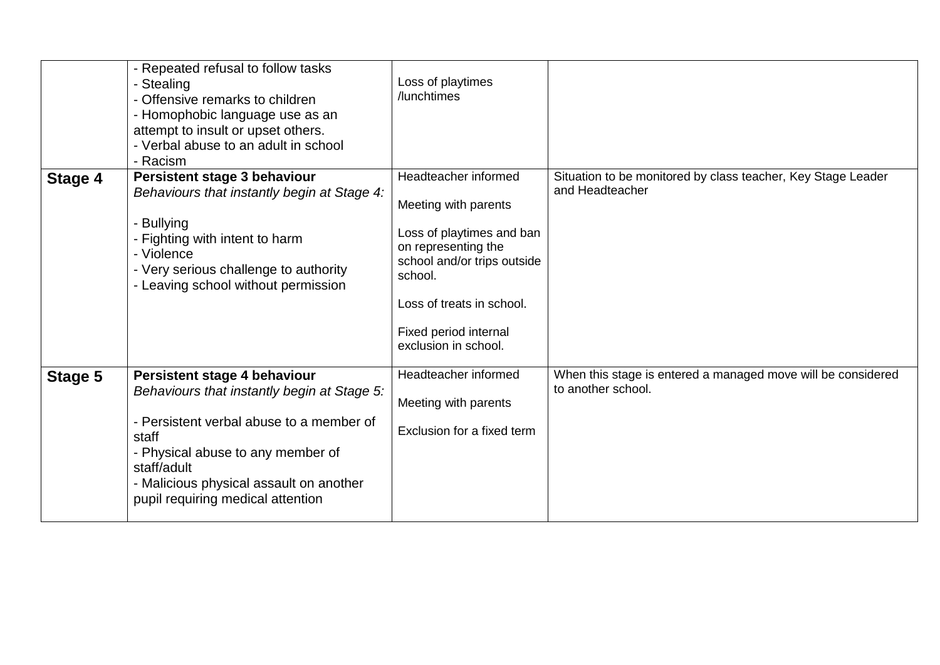|         | - Repeated refusal to follow tasks<br>- Stealing<br>- Offensive remarks to children<br>- Homophobic language use as an<br>attempt to insult or upset others.<br>- Verbal abuse to an adult in school<br>- Racism                                                     | Loss of playtimes<br>/lunchtimes                                                                                                                                                                                         |                                                                                    |
|---------|----------------------------------------------------------------------------------------------------------------------------------------------------------------------------------------------------------------------------------------------------------------------|--------------------------------------------------------------------------------------------------------------------------------------------------------------------------------------------------------------------------|------------------------------------------------------------------------------------|
| Stage 4 | Persistent stage 3 behaviour<br>Behaviours that instantly begin at Stage 4:<br>- Bullying<br>- Fighting with intent to harm<br>- Violence<br>- Very serious challenge to authority<br>- Leaving school without permission                                            | Headteacher informed<br>Meeting with parents<br>Loss of playtimes and ban<br>on representing the<br>school and/or trips outside<br>school.<br>Loss of treats in school.<br>Fixed period internal<br>exclusion in school. | Situation to be monitored by class teacher, Key Stage Leader<br>and Headteacher    |
| Stage 5 | Persistent stage 4 behaviour<br>Behaviours that instantly begin at Stage 5:<br>- Persistent verbal abuse to a member of<br>staff<br>- Physical abuse to any member of<br>staff/adult<br>- Malicious physical assault on another<br>pupil requiring medical attention | Headteacher informed<br>Meeting with parents<br>Exclusion for a fixed term                                                                                                                                               | When this stage is entered a managed move will be considered<br>to another school. |